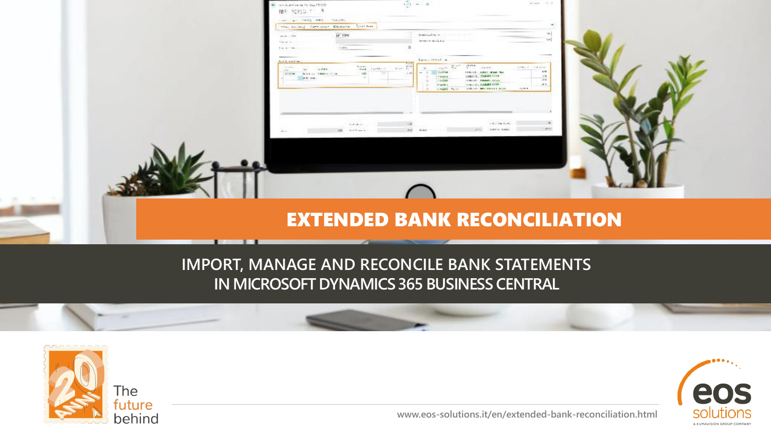| EBR POPPO TO<br>control and and complete<br>mac sacing currican themself. Listness<br>ди того<br>more and be                                                               | templated by the<br><b>STRITTING FALL</b>                                                                                                                                                                                                                                                                                                                            | se p<br>sel.                                                                                      |  |
|----------------------------------------------------------------------------------------------------------------------------------------------------------------------------|----------------------------------------------------------------------------------------------------------------------------------------------------------------------------------------------------------------------------------------------------------------------------------------------------------------------------------------------------------------------|---------------------------------------------------------------------------------------------------|--|
| Take and Service<br>14/49<br>Life with the<br>Building and Links<br>Telefon-<br>Listen.<br>$4.5\times10^{-1}$<br>Top 1<br>COSM - Between Madels Stok-<br><b>CONTRACTOR</b> | Americal district<br>$\frac{\log n}{\log n} = \frac{1}{1+\epsilon(1-\epsilon)} \cdot \frac{1}{1+\epsilon(1-\epsilon)} \cdot \frac{\log n}{1-\epsilon}$<br>great control<br><b>ALCOHOL:</b><br>maged to their<br>$\sim$<br>THE RECORD OF REAL PROPERTY.<br>PERMIT<br>CORD C. DARWIN 1119<br><b>LIBRARY COMPLETED</b><br><b>ANGEL CARRIERS</b><br>OF NIVEA<br>THOM Law | SUPER CORPORATION<br>49.948<br>La title<br>$-410$<br>4.5<br>time.<br><b>SOURCES INTERNATIONAL</b> |  |
| Architecture<br>450 Ford Waren or                                                                                                                                          | <b>WAY</b>                                                                                                                                                                                                                                                                                                                                                           | $\sim 100$ for $\sim 10$ .<br>$\sigma\nu$<br>turner manda                                         |  |
|                                                                                                                                                                            |                                                                                                                                                                                                                                                                                                                                                                      |                                                                                                   |  |
|                                                                                                                                                                            | <b>EXTENDED BANK RECONCILIATION</b>                                                                                                                                                                                                                                                                                                                                  |                                                                                                   |  |

**The Contract of Contract of Contract of Contract of Contract of Contract of Contract o** 

### **IMPORT, MANAGE AND RECONCILE BANK STATEMENTS IN MICROSOFT DYNAMICS 365 BUSINESS CENTRAL**





**www.eos-solutions.it/en/extended-bank-reconciliation.html**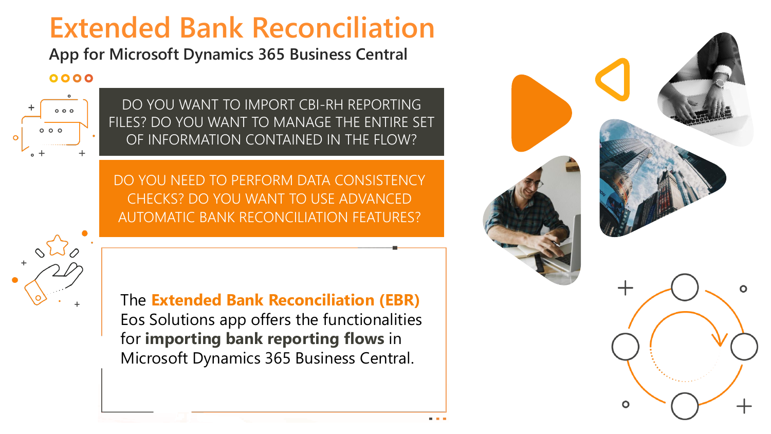# **Extended Bank Reconciliation**

**App for Microsoft Dynamics 365 Business Central**

### 0000



DO YOU WANT TO IMPORT CBI-RH REPORTING FILES? DO YOU WANT TO MANAGE THE ENTIRE SET OF INFORMATION CONTAINED IN THE FLOW?

DO YOU NEED TO PERFORM DATA CONSISTENCY CHECKS? DO YOU WANT TO USE ADVANCED AUTOMATIC BANK RECONCILIATION FEATURES?

The **Extended Bank Reconciliation (EBR)**  Eos Solutions app offers the functionalities for **importing bank reporting flows** in Microsoft Dynamics 365 Business Central.

Creative Orange **Presentation** www.slidemodel.com

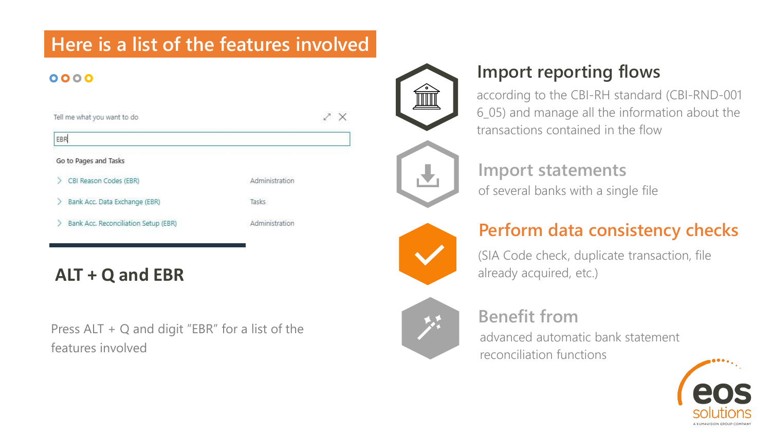## **Here is a list of the features involved**

### 0000

| Tell me what you want to do          |                |
|--------------------------------------|----------------|
| EBR                                  |                |
| Go to Pages and Tasks                |                |
| CBI Reason Codes (EBR)               | Administration |
| Bank Acc. Data Exchange (EBR)        | Tasks          |
| Bank Acc. Reconciliation Setup (EBR) | Administration |
|                                      |                |

## **ALT + Q and EBR**

Press ALT + Q and digit "EBR" for a list of the features involved



 $\times$ 

### **Import reporting flows**

according to the CBI-RH standard (CBI-RND-001 6\_05) and manage all the information about the transactions contained in the flow



**Import statements** of several banks with a single file



### **Perform data consistency checks**

(SIA Code check, duplicate transaction, file already acquired, etc.)

## **Benefit from**

advanced automatic bank statement reconciliation functions

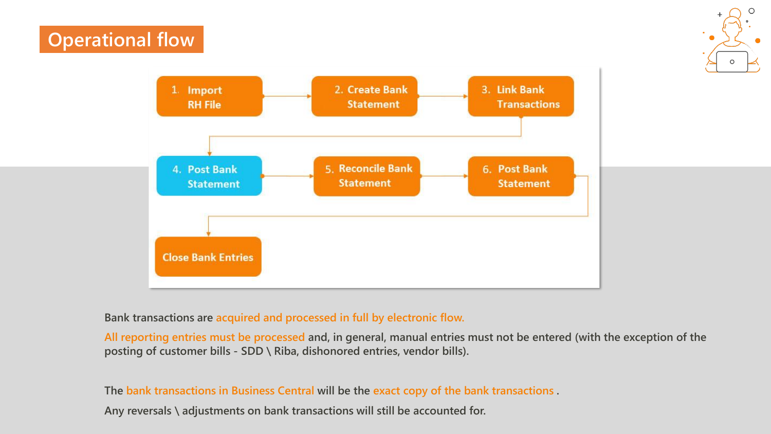## **Operational flow**





### **Bank transactions are acquired and processed in full by electronic flow.**

**All reporting entries must be processed and, in general, manual entries must not be entered (with the exception of the posting of customer bills - SDD \ Riba, dishonored entries, vendor bills).**

**The bank transactions in Business Central will be the exact copy of the bank transactions .** 

**Any reversals \ adjustments on bank transactions will still be accounted for.**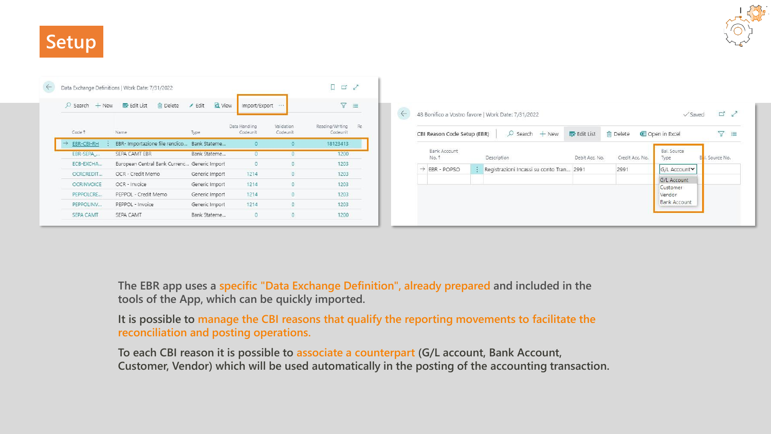# **Setup**



| Bal. Source<br>Bank Account<br>No. 1<br>Credit Acc. No.<br>I. Source No.<br>Description<br>Debit Acc. No.<br>Type<br>Registrazioni Incassi su conto Tran 2991<br>$\rightarrow$ EBR - POPSO<br>2991<br>G/L Account∨<br>G/L Account |  |
|-----------------------------------------------------------------------------------------------------------------------------------------------------------------------------------------------------------------------------------|--|
|                                                                                                                                                                                                                                   |  |
|                                                                                                                                                                                                                                   |  |
|                                                                                                                                                                                                                                   |  |
| Customer<br>Vendor                                                                                                                                                                                                                |  |

**The EBR app uses a specific "Data Exchange Definition", already prepared and included in the tools of the App, which can be quickly imported.**

**It is possible to manage the CBI reasons that qualify the reporting movements to facilitate the reconciliation and posting operations.** 

**To each CBI reason it is possible to associate a counterpart (G/L account, Bank Account, Customer, Vendor) which will be used automatically in the posting of the accounting transaction.**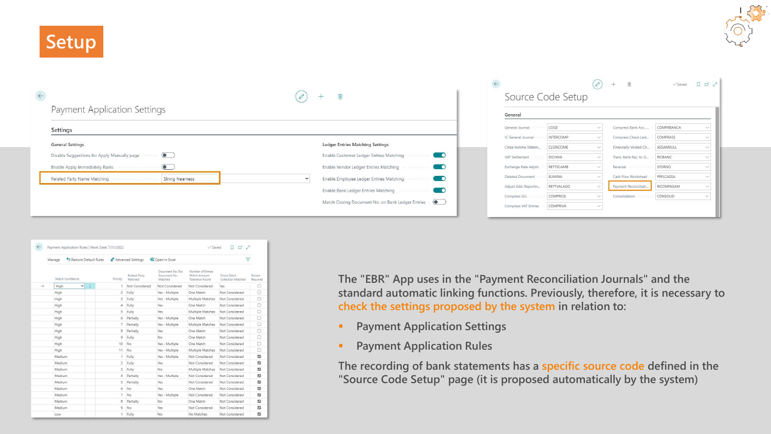**Setup**



|              |                                                                     |                                                                          | $\leftarrow$                              |                        | $\mathscr{O}$ | 面<br>$+$                                    | $\checkmark$ Saved    | $\Box \Box \angle$ |
|--------------|---------------------------------------------------------------------|--------------------------------------------------------------------------|-------------------------------------------|------------------------|---------------|---------------------------------------------|-----------------------|--------------------|
| $\leftarrow$ |                                                                     | û<br>$\pm$                                                               |                                           | Source Code Setup      |               |                                             |                       |                    |
|              | Payment Application Settings                                        |                                                                          | General                                   |                        |               |                                             |                       |                    |
|              | Settings                                                            |                                                                          | General Journal                           | COGE                   |               | Compress Bank Acc.                          | COMPRBANCA            |                    |
|              | <b>General Settings</b>                                             | Ledger Entries Matching Settings                                         | IC General Journal<br>Close Income Statem | INTERCOMP<br>CLSINCOME |               | Compress Check Led<br>Financially Voided Ch | COMPRASS<br>ASSANNULL |                    |
|              | Disable Suggestions for Apply Manually page  (                      | Enable Customer Ledger Entries Matching                                  | VAT Settlement                            | DICHIVA                |               | Trans. Bank Rec. to G                       | RICBANC               |                    |
|              | Enable Apply Immediately Rules <b>Committee Committee Committee</b> | $\bullet$<br>Enable Vendor Ledger Entries Matching                       | Exchange Rate Adjmt.                      | RETTSCAMB              |               | Reversal                                    | STORNO                |                    |
|              | Related Party Name Matching<br><b>String Nearness</b>               | $\bullet$<br>Enable Employee Ledger Entries Matching                     | Deleted Document                          | ELIMINA                |               | Cash Flow Worksheet                         | PRFLCASSA             |                    |
|              |                                                                     | Enable Bank Ledger Entries Matching<br>$\bullet$<br>00000000000000000000 | Adjust Add. Reportin                      | RETTVALAGG             |               | Payment Reconciliati                        | RICONPAGAM            |                    |
|              |                                                                     | Match Closing Document No. on Bank Ledger Entries . (                    | Compress G/L -                            | COMPRCG                |               | Consolidation                               | CONSOLID              |                    |
|              |                                                                     |                                                                          | Compress VAT Entries                      | COMPRIVA               |               |                                             |                       |                    |

| 77                  |                                    |                                                       | Open in Excel                                | Advanced Settings        |                          |   | Restore Default Rules | Manage                |
|---------------------|------------------------------------|-------------------------------------------------------|----------------------------------------------|--------------------------|--------------------------|---|-----------------------|-----------------------|
| Review.<br>Required | Direct Debit<br>Collection Matched | Number of Entries<br>Within Amount<br>Tolerance Found | Document No./Ext.<br>Document No.<br>Matched | Related Party<br>Matched | Priority                 |   | Match Confidence      |                       |
| П                   | <b>Yes</b>                         | Not Considered                                        | Not Considered                               | Not Considered           | $\rightarrow$            | ÷ | $\checkmark$          | $\rightarrow$<br>High |
| $\Box$              | Not Considered                     | One Match                                             | Yes - Multiple                               | Fully                    | $\overline{\phantom{a}}$ |   |                       | High                  |
| п                   | Not Considered                     | Multiple Matches                                      | Yes - Multiple                               | Fully                    | 3                        |   |                       | High                  |
| Ω                   | Not Considered                     | One Match                                             | Yes                                          | Fully                    | $\overline{4}$           |   |                       | High                  |
| П                   | Not Considered                     | Multiple Matches                                      | Yes                                          | Fully                    | 5                        |   |                       | High                  |
| п                   | Not Considered                     | One Match                                             | Yes - Multiple                               | Partially                | 6                        |   |                       | <b>High</b>           |
| Π                   | Not Considered                     | Multiple Matches                                      | Yes - Multiple                               | Partially                | $\overline{7}$           |   |                       | High                  |
| $\Box$              | Not Considered                     | One Match                                             | Yes                                          | Partially                | 8                        |   |                       | High                  |
| Π                   | Not Considered                     | One Match                                             | No                                           | Fully                    | $\ddot{9}$               |   |                       | High                  |
| Π                   | Not Considered                     | One Match                                             | Yes - Multiple                               | No                       | 10                       |   |                       | <b>High</b>           |
| Ω                   | Not Considered                     | Multiple Matches                                      | Yes - Multiple                               | No                       | 11                       |   |                       | High                  |
| ø                   | Not Considered                     | Not Considered                                        | Yes - Multiple                               | Fully                    | $\mathbf{1}$             |   |                       | Medium                |
| z                   | Not Considered                     | Not Considered                                        | Yes                                          | Fully                    | $\overline{c}$           |   |                       | Medium                |
| Ø                   | Not Considered                     | Multiple Matches                                      | No.                                          | Fully                    | 3                        |   |                       | Medium                |
| Ø                   | Not Considered                     | Not Considered                                        | Yes - Multiple                               | Partially                | $\Delta$                 |   |                       | Medium                |
| E2                  | Not Considered                     | Not Considered                                        | Yes                                          | Partially                | 5                        |   |                       | Medium                |
| ø                   | Not Considered                     | One Match                                             | Yes                                          | No                       | 6                        |   |                       | Medium                |
| Ø                   | Not Considered                     | Not Considered                                        | Yes - Multiple                               | No                       | $\overline{7}$           |   |                       | Medium                |
| Ø                   | Not Considered                     | One Match                                             | No                                           | Partially                | 8                        |   |                       | Medium                |
| ø                   | Not Considered                     | Not Considered                                        | Yes                                          | No                       | $\overline{9}$           |   |                       | Medium                |
| ø                   | Not Considered                     | No Matches                                            | No                                           | Fully                    | 1                        |   |                       | Low                   |

**The "EBR" App uses in the "Payment Reconciliation Journals" and the standard automatic linking functions. Previously, therefore, it is necessary to check the settings proposed by the system in relation to:**

- **Payment Application Settings**
- **Payment Application Rules**

**The recording of bank statements has a specific source code defined in the "Source Code Setup" page (it is proposed automatically by the system)**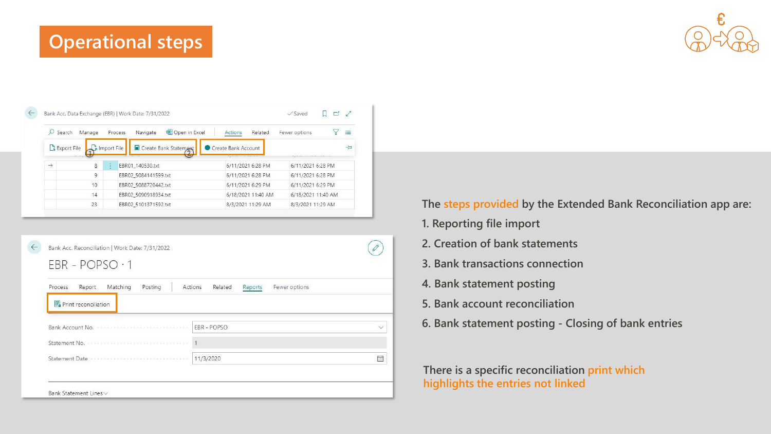## **Operational steps**



|                    | Search        | Manage |                  | Copen in Excel<br>Process<br>Navigate | Related<br>Actions  | Fewer options      | 津 |
|--------------------|---------------|--------|------------------|---------------------------------------|---------------------|--------------------|---|
|                    | & Export File |        | Import File      | Create Bank Statement                 | Create Bank Account |                    | 노 |
| $\rightarrow$<br>8 |               |        | EBR01 140530.txt | 6/11/2021 6:28 PM                     | 6/11/2021 6:28 PM   |                    |   |
|                    |               | 9      |                  | EBR02 5084141599.txt                  | 6/11/2021 6:28 PM   | 6/11/2021 6:28 PM  |   |
|                    |               | 10     |                  | EBR02 5088720442.txt                  | 6/11/2021 6:29 PM   | 6/11/2021 6:29 PM  |   |
|                    |               | 14     |                  | EBR02_5090918934.txt                  | 6/18/2021 11:40 AM  | 6/18/2021 11:40 AM |   |
|                    |               |        |                  |                                       |                     |                    |   |

| Bank Acc. Reconciliation   Work Date: 7/31/2022<br>$EBR - POPSO \cdot 1$                                                     |              |
|------------------------------------------------------------------------------------------------------------------------------|--------------|
| Process<br>Matching<br>Related<br>Fewer options<br>Report<br>Posting<br>Actions<br>Reports                                   |              |
| <b>国</b> Print reconciliation<br>Bank Account No. <b>Manufacture Continued Continued Proposed Account No.</b><br>EBR - POPSO | $\checkmark$ |
| $\vert$                                                                                                                      |              |
| Statement Date<br>11/3/2020                                                                                                  | Ħ            |
|                                                                                                                              |              |
| Bank Statement Lines v                                                                                                       |              |

### **The steps provided by the Extended Bank Reconciliation app are:**

- **1. Reporting file import**
- **2. Creation of bank statements**
- **3. Bank transactions connection**
- **4. Bank statement posting**
- **5. Bank account reconciliation**
- **6. Bank statement posting - Closing of bank entries**

**There is a specific reconciliation print which highlights the entries not linked**